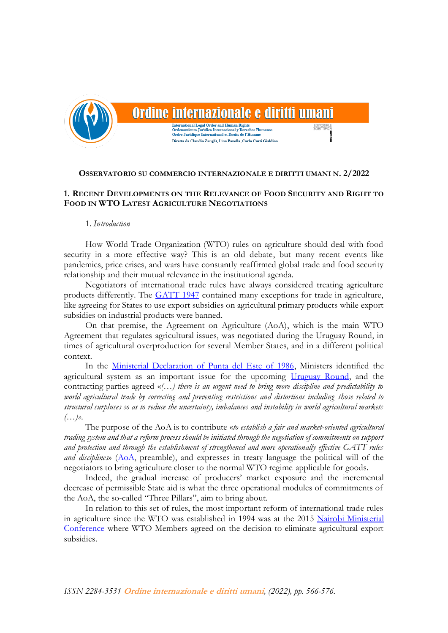

# Ordine internazionale e diritti umani

**International Legal Order and Human Rights** ento Juridico Internacional y Derechos Humanos Ordre Juridique International et Droits de l'Hon Diretta da Claudio Zanghì, Lina Panella, Carlo Curti Gialdino

**OSSERVATORIO SU COMMERCIO INTERNAZIONALE E DIRITTI UMANI N. 2/2022**

# **1. RECENT DEVELOPMENTS ON THE RELEVANCE OF FOOD SECURITY AND RIGHT TO FOOD IN WTO LATEST AGRICULTURE NEGOTIATIONS**

### 1. *Introduction*

How World Trade Organization (WTO) rules on agriculture should deal with food security in a more effective way? This is an old debate, but many recent events like pandemics, price crises, and wars have constantly reaffirmed global trade and food security relationship and their mutual relevance in the institutional agenda.

Negotiators of international trade rules have always considered treating agriculture products differently. The [GATT 1947](https://www.wto.org/english/docs_e/legal_e/gatt47_e.pdf) contained many exceptions for trade in agriculture, like agreeing for States to use export subsidies on agricultural primary products while export subsidies on industrial products were banned.

On that premise, the Agreement on Agriculture (AoA), which is the main WTO Agreement that regulates agricultural issues, was negotiated during the Uruguay Round, in times of agricultural overproduction for several Member States, and in a different political context.

In the [Ministerial Declaration of Punta del Este of 1986,](https://docs.wto.org/gattdocs/q/UR/TNCMIN86/MINDEC.PDF) Ministers identified the agricultural system as an important issue for the upcoming [Uruguay Round,](https://www.wto.org/english/thewto_e/whatis_e/tif_e/fact5_e.htm) and the contracting parties agreed «*(…) there is an urgent need to bring more discipline and predictability to world agricultural trade by correcting and preventing restrictions and distortions including those related to structural surpluses so as to reduce the uncertainty, imbalances and instability in world agricultural markets (…)».*

The purpose of the AoA is to contribute «*to establish a fair and market-oriented agricultural trading system and that a reform process should be initiated through the negotiation of commitments on support and protection and through the establishment of strengthened and more operationally effective GATT rules and disciplines*» [\(AoA,](https://www.wto.org/english/docs_e/legal_e/14-ag.pdf) preamble), and expresses in treaty language the political will of the negotiators to bring agriculture closer to the normal WTO regime applicable for goods.

Indeed, the gradual increase of producers' market exposure and the incremental decrease of permissible State aid is what the three operational modules of commitments of the AoA, the so-called "Three Pillars", aim to bring about.

In relation to this set of rules, the most important reform of international trade rules in agriculture since the WTO was established in 1994 was at the 2015 [Nairobi Ministerial](https://www.wto.org/english/thewto_e/minist_e/mc10_e/briefing_notes_e/brief_agriculture_e.htm)  [Conference](https://www.wto.org/english/thewto_e/minist_e/mc10_e/briefing_notes_e/brief_agriculture_e.htm) where WTO Members agreed on the decision to eliminate agricultural export subsidies.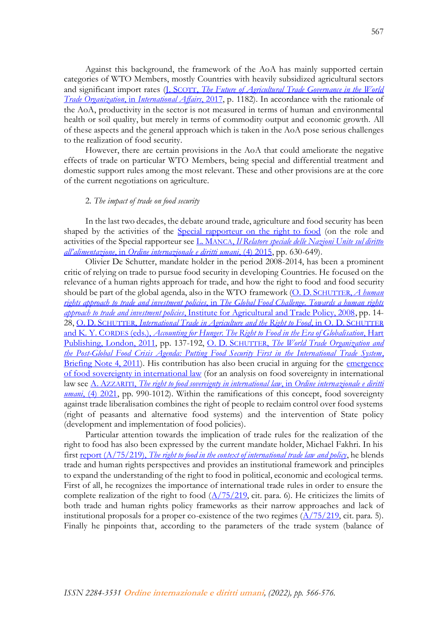Against this background, the framework of the AoA has mainly supported certain categories of WTO Members, mostly Countries with heavily subsidized agricultural sectors and significant import rates (*J. SCOTT, The Future of Agricultural Trade Governance in the World Trade Organization*, in *[International Affairs](https://academic.oup.com/ia/article-abstract/93/5/1167/4080866)*, 2017, p. 1182). In accordance with the rationale of the AoA, productivity in the sector is not measured in terms of human and environmental health or soil quality, but merely in terms of commodity output and economic growth. All of these aspects and the general approach which is taken in the AoA pose serious challenges to the realization of food security.

However, there are certain provisions in the AoA that could ameliorate the negative effects of trade on particular WTO Members, being special and differential treatment and domestic support rules among the most relevant. These and other provisions are at the core of the current negotiations on agriculture.

## 2. *The impact of trade on food security*

In the last two decades, the debate around trade, agriculture and food security has been shaped by the activities of the [Special rapporteur on the right to food](https://www.ohchr.org/en/special-procedures/sr-food) (on the role and activities of the Special rapporteur see L. MANCA, *[Il Relatore speciale delle Nazioni Unite sul diritto](https://www.rivistaoidu.net/wp-content/uploads/2021/12/4_MANCA.pdf)  all'alimentazione*, in *[Ordine internazionale e diritti umani](https://www.rivistaoidu.net/wp-content/uploads/2021/12/4_MANCA.pdf)*, (4) 2015, pp. 630-649).

Olivier De Schutter, mandate holder in the period 2008-2014, has been a prominent critic of relying on trade to pursue food security in developing Countries. He focused on the relevance of a human rights approach for trade, and how the right to food and food security should be part of the global agenda, also in the WTO framework (O. D. SCHUTTER, *[A human](https://www.iatp.org/documents/a-human-rights-approach-to-trade-and-investment-policies)  rights approach to trade and investment policies*, in *[The Global Food Challenge. Towards a human rights](https://www.iatp.org/documents/a-human-rights-approach-to-trade-and-investment-policies)  approach to trade and investment policies*[, Institute for Agricultural and Trade Policy, 2008,](https://www.iatp.org/documents/a-human-rights-approach-to-trade-and-investment-policies) pp. 14- 28, O. D. SCHUTTER, *[International Trade in Agriculture and the Right to Food](https://www.bloomsburycollections.com/book/accounting-for-hunger-the-right-to-food-in-the-era-of-globalisation/ch5-international-trade-in-agriculture-and-the-right-to-food)*, in O. D. SCHUTTER and K. Y. CORDES (eds.), *[Accounting for Hunger. The Right to Food in the Era of Globalisation](https://www.bloomsburycollections.com/book/accounting-for-hunger-the-right-to-food-in-the-era-of-globalisation/ch5-international-trade-in-agriculture-and-the-right-to-food)*, Hart [Publishing, London, 2011,](https://www.bloomsburycollections.com/book/accounting-for-hunger-the-right-to-food-in-the-era-of-globalisation/ch5-international-trade-in-agriculture-and-the-right-to-food) pp. 137-192, O. D. SCHUTTER, *[The World Trade Organization and](https://www.wto.org/english/news_e/news11_e/deschutter_2011_e.pdf)  [the Post-Global Food Crisis Agenda: Putting Food Security First in the International Trade System](https://www.wto.org/english/news_e/news11_e/deschutter_2011_e.pdf)*, [Briefing Note 4, 2011\)](https://www.wto.org/english/news_e/news11_e/deschutter_2011_e.pdf). His contribution has also been crucial in arguing for the emergence [of food sovereignty in international law](https://www.hagueacademy.nl/wp-content/uploads/ONLINE-PROGRAMME-2021.pdf) (for an analysis on food sovereignty in international law see A. AZZARITI, *[The right to food sovereignty in international law](https://www.rivistaoidu.net/wp-content/uploads/2021/12/6_Azzariti-1.pdf)*, in *Ordine internazionale e diritti umani*[, \(4\) 2021,](https://www.rivistaoidu.net/wp-content/uploads/2021/12/6_Azzariti-1.pdf) pp. 990-1012). Within the ramifications of this concept, food sovereignty against trade liberalisation combines the right of people to reclaim control over food systems (right of peasants and alternative food systems) and the intervention of State policy (development and implementation of food policies).

Particular attention towards the implication of trade rules for the realization of the right to food has also been expressed by the current mandate holder, Michael Fakhri. In his first report (A/75/219), *[The right to food in the context of international trade law and policy](https://documents-dds-ny.un.org/doc/UNDOC/GEN/N20/191/75/PDF/N2019175.pdf?OpenElement)*, he blends trade and human rights perspectives and provides an institutional framework and principles to expand the understanding of the right to food in political, economic and ecological terms. First of all, he recognizes the importance of international trade rules in order to ensure the complete realization of the right to food  $(\Delta/75/219)$ , cit. para. 6). He criticizes the limits of both trade and human rights policy frameworks as their narrow approaches and lack of institutional proposals for a proper co-existence of the two regimes  $(\frac{\Lambda}{75}/219)$ , cit. para. 5). Finally he pinpoints that, according to the parameters of the trade system (balance of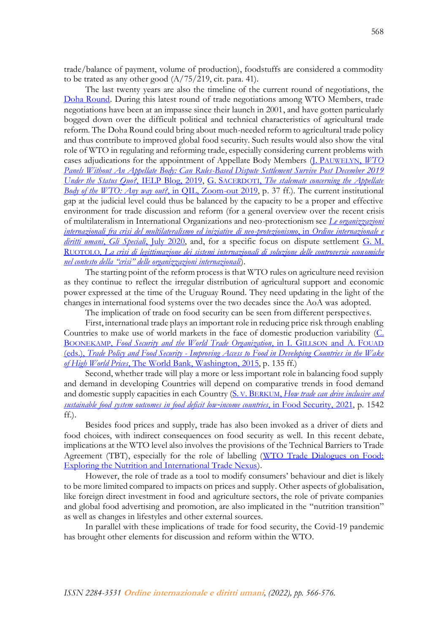trade/balance of payment, volume of production), foodstuffs are considered a commodity to be trated as any other good  $(A/75/219)$ , cit. para. 41).

The last twenty years are also the timeline of the current round of negotiations, the [Doha Round.](https://www.wto.org/english/tratop_e/dda_e/dda_e.htm) During this latest round of trade negotiations among WTO Members, trade negotiations have been at an impasse since their launch in 2001, and have gotten particularly bogged down over the difficult political and technical characteristics of agricultural trade reform. The Doha Round could bring about much-needed reform to agricultural trade policy and thus contribute to improved global food security. Such results would also show the vital role of WTO in regulating and reforming trade, especially considering current problems with cases adjudications for the appointment of Appellate Body Members (J. P[AUWELYN](https://ielp.worldtradelaw.net/2019/05/wto-panels-without-an-appellate-body-can-rules-based-dispute-settlement-survive-post-december-2019-u.html), *WTO [Panels Without An Appellate Body: Can Rules-Based Dispute Settlement Survive Post](https://ielp.worldtradelaw.net/2019/05/wto-panels-without-an-appellate-body-can-rules-based-dispute-settlement-survive-post-december-2019-u.html) December 2019 [Under the Status Quo?](https://ielp.worldtradelaw.net/2019/05/wto-panels-without-an-appellate-body-can-rules-based-dispute-settlement-survive-post-december-2019-u.html)*, IELP Blog, 2019, G. SACERDOTI, *[The stalemate concerning the Appellate](http://www.qil-qdi.org/wp-content/uploads/2019/12/03_WTO-Future_SACERDOTI_FIN.pdf)  [Body of the WTO: Any way out?](http://www.qil-qdi.org/wp-content/uploads/2019/12/03_WTO-Future_SACERDOTI_FIN.pdf)*, in QIL, Zoom-out 2019, p. 37 ff.). The current institutional gap at the judicial level could thus be balanced by the capacity to be a proper and effective environment for trade discussion and reform (for a general overview over the recent crisis of multilateralism in International Organizations and neo-protectionism see *[Le organizzazioni](https://www.rivistaoidu.net/speciali/)  [internazionali fra crisi del multilateralismo ed iniziative di neo-protezionismo](https://www.rivistaoidu.net/speciali/)*, in *Ordine internazionale e diritti umani*, *Gli Speciali*[, July 2020,](https://www.rivistaoidu.net/speciali/) and, for a specific focus on dispute settlement [G.](https://www.rivistaoidu.net/speciali/) M. RUOTOLO, *[La crisi di legittimazione dei sistemi internazionali di soluzione delle controversie economiche](https://www.rivistaoidu.net/speciali/)  [nel contesto della "crisi" delle organizzazioni internazionali](https://www.rivistaoidu.net/speciali/)*).

The starting point of the reform process is that WTO rules on agriculture need revision as they continue to reflect the irregular distribution of agricultural support and economic power expressed at the time of the Uruguay Round. They need updating in the light of the changes in international food systems over the two decades since the AoA was adopted.

The implication of trade on food security can be seen from different perspectives.

First, international trade plays an important role in reducing price risk through enabling Countries to make use of world markets in the face of domestic production variability [\(C.](https://openknowledge.worldbank.org/bitstream/handle/10986/20537/926470PUB0978100Box385381B00PUBLIC0.pdf?sequence=1&isAllowed=y) BOONEKAMP, *[Food Security and the World Trade Organization](https://openknowledge.worldbank.org/bitstream/handle/10986/20537/926470PUB0978100Box385381B00PUBLIC0.pdf?sequence=1&isAllowed=y)*, in I. GILLSON and A. FOUAD (eds.), *Trade Policy and Food Security - [Improving Access to Food in Developing Countries in the Wake](https://openknowledge.worldbank.org/bitstream/handle/10986/20537/926470PUB0978100Box385381B00PUBLIC0.pdf?sequence=1&isAllowed=y) of High World Prices*[, The World Bank, Washington, 2015,](https://openknowledge.worldbank.org/bitstream/handle/10986/20537/926470PUB0978100Box385381B00PUBLIC0.pdf?sequence=1&isAllowed=y) p. 135 ff.)

Second, whether trade will play a more or less important role in balancing food supply and demand in developing Countries will depend on comparative trends in food demand and domestic supply capacities in each Country (S. V. BERKUM, *[How trade can drive inclusive and](https://link.springer.com/content/pdf/10.1007/s12571-021-01218-z.pdf)  [sustainable food system outcomes](https://link.springer.com/content/pdf/10.1007/s12571-021-01218-z.pdf) in food deficit low*‑*income countries*, in Food Security, 2021, p. 1542  $ff.$ ).

Besides food prices and supply, trade has also been invoked as a driver of diets and food choices, with indirect consequences on food security as well. In this recent debate, implications at the WTO level also involves the provisions of the Technical Barriers to Trade Agreement (TBT), especially for the role of labelling (WTO Trade Dialogues on Food: [Exploring the Nutrition and International Trade Nexus\)](https://www.youtube.com/watch?v=cJ_6u8MzVdg).

However, the role of trade as a tool to modify consumers' behaviour and diet is likely to be more limited compared to impacts on prices and supply. Other aspects of globalisation, like foreign direct investment in food and agriculture sectors, the role of private companies and global food advertising and promotion, are also implicated in the "nutrition transition" as well as changes in lifestyles and other external sources.

In parallel with these implications of trade for food security, the Covid-19 pandemic has brought other elements for discussion and reform within the WTO.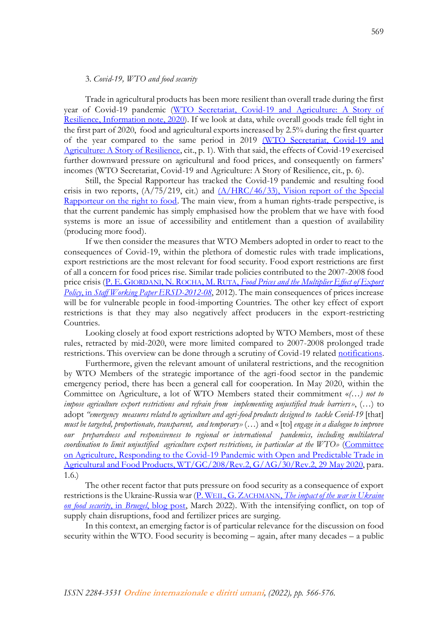## 3. *Covid-19, WTO and food security*

Trade in agricultural products has been more resilient than overall trade during the first year of Covid-19 pandemic [\(WTO Secretariat, Covid-19 and Agriculture: A Story of](https://www.wto.org/english/tratop_e/covid19_e/agric_report_e.pdf)  [Resilience, Information note, 2020\)](https://www.wto.org/english/tratop_e/covid19_e/agric_report_e.pdf). If we look at data, while overall goods trade fell tight in the first part of 2020, food and agricultural exports increased by 2.5% during the first quarter of the year compared to the same period in 2019 [\(WTO Secretariat, Covid-19 and](https://www.wto.org/english/tratop_e/covid19_e/agric_report_e.pdf)  [Agriculture: A Story of](https://www.wto.org/english/tratop_e/covid19_e/agric_report_e.pdf) Resilience, cit., p. 1). With that said, the effects of Covid-19 exercised further downward pressure on agricultural and food prices, and consequently on farmers' incomes (WTO Secretariat, Covid-19 and Agriculture: A Story of Resilience, cit., p. 6).

Still, the Special Rapporteur has tracked the Covid-19 pandemic and resulting food crisis in two reports,  $(A/75/219, \text{cit.)}$  and  $(A/HRC/46/33)$ , Vision report of the Special [Rapporteur on the right to food.](https://documents-dds-ny.un.org/doc/UNDOC/GEN/G20/355/23/PDF/G2035523.pdf?OpenElement) The main view, from a human rights-trade perspective, is that the current pandemic has simply emphasised how the problem that we have with food systems is more an issue of accessibility and entitlement than a question of availability (producing more food).

If we then consider the measures that WTO Members adopted in order to react to the consequences of Covid-19, within the plethora of domestic rules with trade implications, export restrictions are the most relevant for food security. Food export restrictions are first of all a concern for food prices rise. Similar trade policies contributed to the 2007-2008 food price crisis (P. E. GIORDANI, N. ROCHA, M. RUTA, *[Food Prices and the Multiplier Effect of Export](https://www.wto.org/english/res_e/reser_e/ersd201208_e.pdf)  Policy*, in *[Staff Working Paper ERSD-2012-08](https://www.wto.org/english/res_e/reser_e/ersd201208_e.pdf)*, 2012). The main consequences of prices increase will be for vulnerable people in food-importing Countries. The other key effect of export restrictions is that they may also negatively affect producers in the export-restricting Countries.

Looking closely at food export restrictions adopted by WTO Members, most of these rules, retracted by mid-2020, were more limited compared to 2007-2008 prolonged trade restrictions. This overview can be done through a scrutiny of Covid-19 related [notifications.](https://www.wto.org/english/tratop_e/covid19_e/notifications_e.htm)

Furthermore, given the relevant amount of unilateral restrictions, and the recognition by WTO Members of the strategic importance of the agri-food sector in the pandemic emergency period, there has been a general call for cooperation. In May 2020, within the Committee on Agriculture, a lot of WTO Members stated their commitment «*(…) not to impose agriculture export restrictions and refrain from implementing unjustified trade barriers»*, (…) to adopt *"emergency measures related to agriculture and agri-food products designed to tackle Covid-19* [that] *must be targeted, proportionate, transparent, and temporary»*(…) and «[to] *engage in a dialogue to improve*  our preparedness and responsiveness to regional or international pandemics, including multilateral *coordination to limit unjustified agriculture export restrictions, in particular at the WTO»* [\(Committee](https://docs.wto.org/dol2fe/Pages/SS/directdoc.aspx?filename=q:/WT/GC/208R2.pdf&Open=True)  [on Agriculture, Responding to the Covid-19 Pandemic with Open and Predictable Trade in](https://docs.wto.org/dol2fe/Pages/SS/directdoc.aspx?filename=q:/WT/GC/208R2.pdf&Open=True)  [Agricultural and Food Products, WT/GC/208/Rev.2, G/AG/30/Rev.2, 29 May](https://docs.wto.org/dol2fe/Pages/SS/directdoc.aspx?filename=q:/WT/GC/208R2.pdf&Open=True) 2020, para. 1.6.)

The other recent factor that puts pressure on food security as a consequence of export restrictions is the Ukraine-Russia war (P. WEIL, G. ZACHMANN, *[The impact of the](https://www.bruegel.org/2022/03/the-impact-of-the-war-in-ukraine-on-food-security/#:~:text=In%20addition%20to%20these%20constraints,until%20the%20end%20of%202022.) war in Ukraine [on food security](https://www.bruegel.org/2022/03/the-impact-of-the-war-in-ukraine-on-food-security/#:~:text=In%20addition%20to%20these%20constraints,until%20the%20end%20of%202022.)*, in *Bruegel*, blog post, March 2022). With the intensifying conflict, on top of supply chain disruptions, food and fertilizer prices are surging.

In this context, an emerging factor is of particular relevance for the discussion on food security within the WTO. Food security is becoming – again, after many decades – a public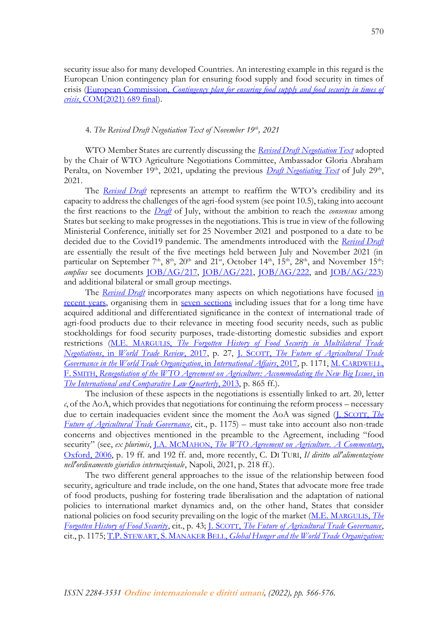security issue also for many developed Countries. An interesting example in this regard is the European Union contingency plan for ensuring food supply and food security in times of crisis (European Commission, *[Contingency plan for ensuring food supply and food security in times of](https://eur-lex.europa.eu/resource.html?uri=cellar:d5882fbe-462c-11ec-89db-01aa75ed71a1.0006.02/DOC_1&format=PDF)  crisis*[, COM\(2021\) 689 final\)](https://eur-lex.europa.eu/resource.html?uri=cellar:d5882fbe-462c-11ec-89db-01aa75ed71a1.0006.02/DOC_1&format=PDF).

## 4. *The Revised Draft Negotiation Text of November 19th, 2021*

WTO Member States are currently discussing the *[Revised Draft Negotiation Text](https://docs.wto.org/dol2fe/Pages/SS/directdoc.aspx?filename=q:/TN/AG/50.pdf&Open=True)* adopted by the Chair of WTO Agriculture Negotiations Committee, Ambassador Gloria Abraham Peralta, on November 19<sup>th</sup>, 2021, updating the previous *[Draft Negotiating Text](https://tradebetablog.files.wordpress.com/2021/08/chair-draft-july-2021_rd-ag-215.pdf)* of July 29<sup>th</sup>, 2021.

The *[Revised Draft](https://docs.wto.org/dol2fe/Pages/SS/directdoc.aspx?filename=q:/TN/AG/50.pdf&Open=True)* represents an attempt to reaffirm the WTO's credibility and its capacity to address the challenges of the agri-food system (see point 10.5), taking into account the first reactions to the *[Draft](https://tradebetablog.files.wordpress.com/2021/08/chair-draft-july-2021_rd-ag-215.pdf)* of July, without the ambition to reach the *consensus* among States but seeking to make progresses in the negotiations. This is true in view of the following Ministerial Conference, initially set for 25 November 2021 and postponed to a date to be decided due to the Covid19 pandemic. The amendments introduced with the *[Revised Draft](https://docs.wto.org/dol2fe/Pages/SS/directdoc.aspx?filename=q:/TN/AG/50.pdf&Open=True)* are essentially the result of the five meetings held between July and November 2021 (in particular on September 7<sup>th</sup>, 8<sup>th</sup>, 20<sup>th</sup> and 21<sup>st</sup>, October 14<sup>th</sup>, 15<sup>th</sup>, 28<sup>th</sup>, and November 15<sup>th</sup>: *amplius* see documents [JOB/AG/217,](https://docs.wto.org/dol2fe/Pages/SS/directdoc.aspx?filename=q:/Jobs/AG/217.pdf&Open=True) [JOB/AG/221,](https://docs.wto.org/dol2fe/Pages/FE_Search/FE_S_S009-DP.aspx?language=E&CatalogueIdList=283911,283401,283134,280346,279229,278769,278357,278087,277924,277761&CurrentCatalogueIdIndex=8&FullTextHash=&HasEnglishRecord=True&HasFrenchRecord=True&HasSpanishRecord=True) [JOB/AG/222,](https://docs.wto.org/dol2fe/Pages/FE_Search/FE_S_S009-DP.aspx?language=E&CatalogueIdList=283911,283401,283134,280346,279229,278769,278357,278087,277924,277761&CurrentCatalogueIdIndex=6&FullTextHash=&HasEnglishRecord=True&HasFrenchRecord=True&HasSpanishRecord=True) and [JOB/AG/223\)](https://docs.wto.org/dol2fe/Pages/FE_Search/FE_S_S009-DP.aspx?language=E&CatalogueIdList=283911,283401,283134,280346,279229,278769,278357,278087,277924,277761&CurrentCatalogueIdIndex=5&FullTextHash=&HasEnglishRecord=True&HasFrenchRecord=True&HasSpanishRecord=True) and additional bilateral or small group meetings.

The *[Revised Draft](https://docs.wto.org/dol2fe/Pages/SS/directdoc.aspx?filename=q:/TN/AG/50.pdf&Open=True)* incorporates many aspects on which negotiations have focused [in](https://www.wto.org/english/thewto_e/minist_e/mc12_e/briefing_notes_e/bfagric_e.htm)  [recent years,](https://www.wto.org/english/thewto_e/minist_e/mc12_e/briefing_notes_e/bfagric_e.htm) organising them in [seven sections](https://www.wto.org/english/tratop_e/agric_e/negotiations_explainer_e.htm) including issues that for a long time have acquired additional and differentiated significance in the context of international trade of agri-food products due to their relevance in meeting food security needs, such as public stockholdings for food security purposes, trade-distorting domestic subsidies and export restrictions (M.E. MARGULIS, *[The Forgotten History of Food Security in Multilateral Trade](https://www.cambridge.org/core/journals/world-trade-review/article/abs/forgotten-history-of-food-security-in-multilateral-trade-negotiations/882E30343EDC94C0CE00DF8B6362A368)  Negotiations*, in *[World Trade Review](https://www.cambridge.org/core/journals/world-trade-review/article/abs/forgotten-history-of-food-security-in-multilateral-trade-negotiations/882E30343EDC94C0CE00DF8B6362A368)*, 2017, p. 27, J. SCOTT, *[The Future of Agricultural Trade](https://academic.oup.com/ia/article-abstract/93/5/1167/4080866)  Governance in [the World Trade Organization](https://academic.oup.com/ia/article-abstract/93/5/1167/4080866)*, in *International Affairs*, 2017, p. 1171, M. C[ARDWELL](https://www.cambridge.org/core/journals/international-and-comparative-law-quarterly/article/abs/renegotiation-of-the-wto-agreement-on-agriculture-accommodating-the-new-big-issues/88F00F1653BEF94620AD43E2AD2F4822), F. SMITH, *[Renegotiation of the WTO Agreement on Agriculture: Accommodating the New Big Issues](https://www.cambridge.org/core/journals/international-and-comparative-law-quarterly/article/abs/renegotiation-of-the-wto-agreement-on-agriculture-accommodating-the-new-big-issues/88F00F1653BEF94620AD43E2AD2F4822)*, in *[The International and Comparative Law Quarterly](https://www.cambridge.org/core/journals/international-and-comparative-law-quarterly/article/abs/renegotiation-of-the-wto-agreement-on-agriculture-accommodating-the-new-big-issues/88F00F1653BEF94620AD43E2AD2F4822)*, 2013, p. 865 ff.).

The inclusion of these aspects in the negotiations is essentially linked to art. 20, letter *c*, of the AoA, which provides that negotiations for continuing the reform process – necessary due to certain inadequacies evident since the moment the AoA was signed (J. S[COTT](https://academic.oup.com/ia/article-abstract/93/5/1167/4080866), *The [Future of Agricultural Trade Governance](https://academic.oup.com/ia/article-abstract/93/5/1167/4080866)*, cit., p. 1175) – must take into account also non-trade concerns and objectives mentioned in the preamble to the Agreement, including "food security" (see, *ex plurimis*, J.A. MCMAHON, *[The WTO Agreement on Agriculture. A Commentary](https://opil.ouplaw.com/view/10.1093/law/9780199275687.001.0001/law-9780199275687)*, [Oxford, 2006,](https://opil.ouplaw.com/view/10.1093/law/9780199275687.001.0001/law-9780199275687) p. 19 ff. and 192 ff. and, more recently, C. DI TURI, *Il diritto all'alimentazione nell'ordinamento giuridico internazionale*, Napoli, 2021, p. 218 ff.).

The two different general approaches to the issue of the relationship between food security, agriculture and trade include, on the one hand, States that advocate more free trade of food products, pushing for fostering trade liberalisation and the adaptation of national policies to international market dynamics and, on the other hand, States that consider national policies on food security prevailing on the logic of the market [\(M.E. M](https://www.cambridge.org/core/journals/world-trade-review/article/abs/forgotten-history-of-food-security-in-multilateral-trade-negotiations/882E30343EDC94C0CE00DF8B6362A368)ARGULIS, *The [Forgotten History of Food Security](https://www.cambridge.org/core/journals/world-trade-review/article/abs/forgotten-history-of-food-security-in-multilateral-trade-negotiations/882E30343EDC94C0CE00DF8B6362A368)*, cit., p. 43; J. SCOTT, *[The Future of Agricultural Trade Governance](https://academic.oup.com/ia/article-abstract/93/5/1167/4080866)*, cit., p. 1175; T.P. STEWART, S. MANAKER BELL, *[Global Hunger and the World Trade Organization:](https://elibrary.law.psu.edu/cgi/viewcontent.cgi?article=1098&context=jlia)*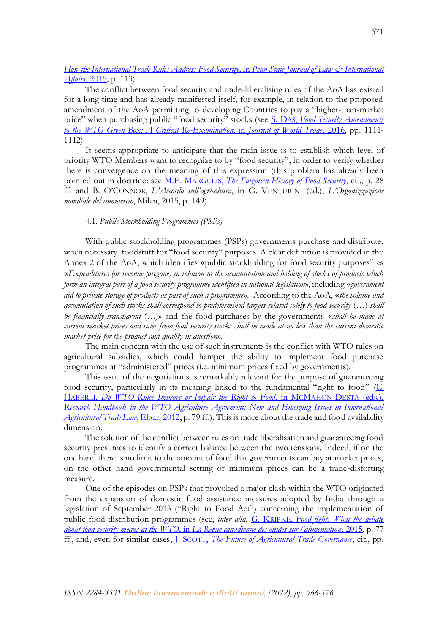# *[How the International Trade Rules Address Food Security](https://elibrary.law.psu.edu/cgi/viewcontent.cgi?article=1098&context=jlia)*, in *Penn State Journal of Law & International Affairs*[, 2015,](https://elibrary.law.psu.edu/cgi/viewcontent.cgi?article=1098&context=jlia) p. 113).

The conflict between food security and trade-liberalising rules of the AoA has existed for a long time and has already manifested itself, for example, in relation to the proposed amendment of the AoA permitting to developing Countries to pay a "higher-than-market price" when purchasing public "food security" stocks (see S. DAS, *[Food Security Amendments](https://kluwerlawonline.com/journalarticle/Journal+of+World+Trade/50.6/TRAD2016044)  [to the WTO Green Box: A Critical Re-Examination](https://kluwerlawonline.com/journalarticle/Journal+of+World+Trade/50.6/TRAD2016044)*, in *Journal of World Trade*, 2016, pp. 1111- 1112).

It seems appropriate to anticipate that the main issue is to establish which level of priority WTO Members want to recognize to by "food security", in order to verify whether there is convergence on the meaning of this expression (this problem has already been pointed out in doctrine: see M.E. MARGULIS, *[The Forgotten History of Food Security](https://www.cambridge.org/core/journals/world-trade-review/article/abs/forgotten-history-of-food-security-in-multilateral-trade-negotiations/882E30343EDC94C0CE00DF8B6362A368)*, cit., p. 28 ff. and B. O'CONNOR, *L'Accordo sull'agricoltura*, in G. VENTURINI (ed.), *L'Organizzazione mondiale del commercio*, Milan, 2015, p. 149).

## 4.1. *Public Stockholding Programmes (PSPs)*

With public stockholding programmes (PSPs) governments purchase and distribute, when necessary, foodstuff for "food security" purposes. A clear definition is provided in the Annex 2 of the AoA, which identifies «public stockholding for food security purposes" as «*Expenditures (or revenue foregone) in relation to the accumulation and holding of stocks of products which form an integral part of a food security programme identified in national legislation*», including «*government aid to private storage of products as part of such a programme*». According to the AoA, «*the volume and accumulation of such stocks shall correspond to predetermined targets related solely to food security* (…) *shall be financially transparent* (…)» and the food purchases by the governments «*shall be made at current market prices and sales from food security stocks shall be made at no less than the current domestic market price for the product and quality in question*».

The main concern with the use of such instruments is the conflict with WTO rules on agricultural subsidies, which could hamper the ability to implement food purchase programmes at "administered" prices (i.e. minimum prices fixed by governments).

This issue of the negotiations is remarkably relevant for the purpose of guaranteeing food security, particularly in its meaning linked to the fundamental "right to food"  $(C_1)$ HABERLI, *[Do WTO Rules Improve or Impair the Right to Food](https://www.elgaronline.com/view/edcoll/9781848441163/9781848441163.xml)*, in MCMAHON-DESTA (eds.), *[Research Handbook in the WTO Agriculture Agreement: New and Emerging Issues in International](https://www.elgaronline.com/view/edcoll/9781848441163/9781848441163.xml)  [Agricultural Trade Law](https://www.elgaronline.com/view/edcoll/9781848441163/9781848441163.xml)*, Elgar, 2012, p. 79 ff.). This is more about the trade and food availability dimension.

The solution of the conflict between rules on trade liberalisation and guaranteeing food security presumes to identify a correct balance between the two tensions. Indeed, if on the one hand there is no limit to the amount of food that governments can buy at market prices, on the other hand governmental setting of minimum prices can be a trade-distorting measure.

One of the episodes on PSPs that provoked a major clash within the WTO originated from the expansion of domestic food assistance measures adopted by India through a legislation of September 2013 ("Right to Food Act") concerning the implementation of public food distribution programmes (see, *inter alia*, G. KRIPKE, *[Food fight: What the debate](https://canadianfoodstudies.uwaterloo.ca/index.php/cfs/article/view/118/99)  about food security means at the WTO*, in *[La Revue canadienne des études sur l'alimentation](https://canadianfoodstudies.uwaterloo.ca/index.php/cfs/article/view/118/99)*, 2015, p. 77 ff., and, even for similar cases, J. SCOTT, *[The Future of Agricultural Trade Governance](https://academic.oup.com/ia/article-abstract/93/5/1167/4080866)*, cit., pp.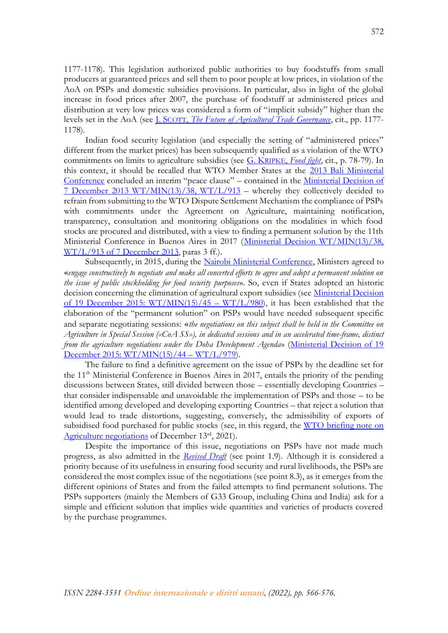1177-1178). This legislation authorized public authorities to buy foodstuffs from small producers at guaranteed prices and sell them to poor people at low prices, in violation of the AoA on PSPs and domestic subsidies provisions. In particular, also in light of the global increase in food prices after 2007, the purchase of foodstuff at administered prices and distribution at very low prices was considered a form of "implicit subsidy" higher than the levels set in the AoA (see J. SCOTT, *[The Future of Agricultural Trade Governance](https://academic.oup.com/ia/article-abstract/93/5/1167/4080866)*, cit., pp. 1177- 1178).

Indian food security legislation (and especially the setting of "administered prices" different from the market prices) has been subsequently qualified as a violation of the WTO commitments on limits to agriculture subsidies (see G. KRIPKE, *[Food fight](https://canadianfoodstudies.uwaterloo.ca/index.php/cfs/article/view/118/99)*, cit., p. 78-79). In this context, it should be recalled that WTO Member States at the [2013 Bali Ministerial](https://www.wto.org/english/thewto_e/minist_e/mc9_e/mc9_e.htm)  [Conference](https://www.wto.org/english/thewto_e/minist_e/mc9_e/mc9_e.htm) concluded an interim "peace clause" – contained in the Ministerial [Decision of](https://www.wto.org/english/thewto_e/minist_e/mc9_e/desci38_e.htm)  [7 December 2013 WT/MIN\(13\)/38, WT/L/913](https://www.wto.org/english/thewto_e/minist_e/mc9_e/desci38_e.htm) – whereby they collectively decided to refrain from submitting to the WTO Dispute Settlement Mechanism the compliance of PSPs with commitments under the Agreement on Agriculture, maintaining notification, transparency, consultation and monitoring obligations on the modalities in which food stocks are procured and distributed, with a view to finding a permanent solution by the 11th Ministerial Conference in Buenos Aires in 2017 (Ministerial Decision WT/MIN(13)/38, [WT/L/913 of 7 December 2013,](https://www.wto.org/english/thewto_e/minist_e/mc9_e/desci38_e.htm) paras 3 ff.).

Subsequently, in 2015, during the Nairobi [Ministerial Conference,](https://www.wto.org/english/thewto_e/minist_e/mc10_e/mc10_e.htm) Ministers agreed to «*engage constructively to negotiate and make all concerted efforts to agree and adopt a permanent solution on the issue of public stockholding for food security purposes*». So, even if States adopted an historic decision concerning the elimination of agricultural export subsidies (see [Ministerial Decision](https://www.wto.org/english/thewto_e/minist_e/mc10_e/l980_e.htm)  [of 19 December 2015: WT/MIN\(15\)/45](https://www.wto.org/english/thewto_e/minist_e/mc10_e/l980_e.htm) – WT/L/980), it has been established that the elaboration of the "permanent solution" on PSPs would have needed subsequent specific and separate negotiating sessions: «*the negotiations on this subject shall be held in the Committee on Agriculture in Special Session («CoA SS»), in dedicated sessions and in an accelerated time-frame, distinct from the agriculture negotiations under the Doha Development Agenda*» [\(Ministerial Decision of 19](https://www.wto.org/english/thewto_e/minist_e/mc10_e/l979_e.htm)  [December 2015: WT/MIN\(15\)/44](https://www.wto.org/english/thewto_e/minist_e/mc10_e/l979_e.htm) – WT/L/979).

The failure to find a definitive agreement on the issue of PSPs by the deadline set for the 11th Ministerial Conference in Buenos Aires in 2017, entails the priority of the pending discussions between States, still divided between those – essentially developing Countries – that consider indispensable and unavoidable the implementation of PSPs and those – to be identified among developed and developing exporting Countries – that reject a solution that would lead to trade distortions, suggesting, conversely, the admissibility of exports of subsidised food purchased for public stocks (see, in this regard, the WTO briefing note on [Agriculture negotiations](https://www.wto.org/english/thewto_e/minist_e/mc12_e/briefing_notes_e/bfagric_e.htm) of December 13rd, 2021).

Despite the importance of this issue, negotiations on PSPs have not made much progress, as also admitted in the *[Revised Draft](https://docs.wto.org/dol2fe/Pages/SS/directdoc.aspx?filename=q:/TN/AG/50.pdf&Open=True)* (see point 1.9). Although it is considered a priority because of its usefulness in ensuring food security and rural livelihoods, the PSPs are considered the most complex issue of the negotiations (see point 8.3), as it emerges from the different opinions of States and from the failed attempts to find permanent solutions. The PSPs supporters (mainly the Members of G33 Group, including China and India) ask for a simple and efficient solution that implies wide quantities and varieties of products covered by the purchase programmes.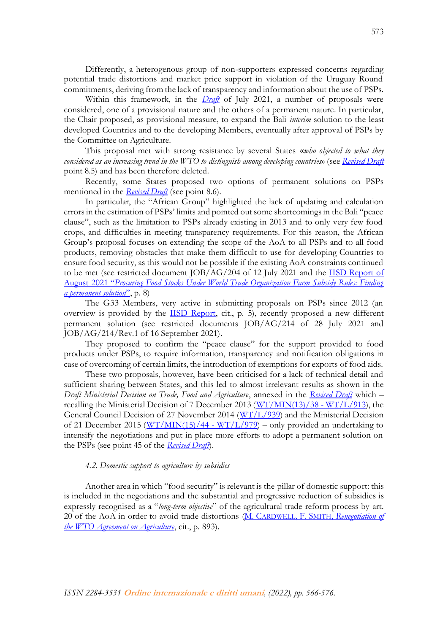Differently, a heterogenous group of non-supporters expressed concerns regarding potential trade distortions and market price support in violation of the Uruguay Round commitments, deriving from the lack of transparency and information about the use of PSPs.

Within this framework, in the *[Draft](https://tradebetablog.files.wordpress.com/2021/08/chair-draft-july-2021_rd-ag-215.pdf)* of July 2021, a number of proposals were considered, one of a provisional nature and the others of a permanent nature. In particular, the Chair proposed, as provisional measure, to expand the Bali *interim* solution to the least developed Countries and to the developing Members, eventually after approval of PSPs by the Committee on Agriculture.

This proposal met with strong resistance by several States «*who objected to what they considered as an increasing trend in the WTO to distinguish among developing countries*» (see *[Revised Draft](https://docs.wto.org/dol2fe/Pages/SS/directdoc.aspx?filename=q:/TN/AG/50.pdf&Open=True)* point 8.5) and has been therefore deleted.

Recently, some States proposed two options of permanent solutions on PSPs mentioned in the *[Revised Draft](https://docs.wto.org/dol2fe/Pages/SS/directdoc.aspx?filename=q:/TN/AG/50.pdf&Open=True)* (see point 8.6).

In particular, the "African Group" highlighted the lack of updating and calculation errors in the estimation of PSPs' limits and pointed out some shortcomings in the Bali "peace clause", such as the limitation to PSPs already existing in 2013 and to only very few food crops, and difficulties in meeting transparency requirements. For this reason, the African Group's proposal focuses on extending the scope of the AoA to all PSPs and to all food products, removing obstacles that make them difficult to use for developing Countries to ensure food security, as this would not be possible if the existing AoA constraints continued to be met (see restricted document JOB/AG/204 of 12 July 2021 and the **IISD Report of** August 2021 "*[Procuring Food Stocks Under World Trade Organization Farm Subsidy Rules: Finding](https://www.iisd.org/system/files/2021-08/food-stocks-wto-farm-subsidy-rules.pdf)  [a permanent solution](https://www.iisd.org/system/files/2021-08/food-stocks-wto-farm-subsidy-rules.pdf)*", p. 8)

The G33 Members, very active in submitting proposals on PSPs since 2012 (an overview is provided by the [IISD Report,](https://www.iisd.org/system/files/2021-08/food-stocks-wto-farm-subsidy-rules.pdf) cit., p. 5), recently proposed a new different permanent solution (see restricted documents JOB/AG/214 of 28 July 2021 and JOB/AG/214/Rev.1 of 16 September 2021).

They proposed to confirm the "peace clause" for the support provided to food products under PSPs, to require information, transparency and notification obligations in case of overcoming of certain limits, the introduction of exemptions for exports of food aids.

These two proposals, however, have been criticised for a lack of technical detail and sufficient sharing between States, and this led to almost irrelevant results as shown in the *Draft Ministerial Decision on Trade, Food and Agriculture*, annexed in the *[Revised Draft](https://docs.wto.org/dol2fe/Pages/SS/directdoc.aspx?filename=q:/TN/AG/50.pdf&Open=True)* which – recalling the Ministerial Decision of 7 December 2013  $\frac{\text{W} \text{T}}{\text{M} \text{N}}$ (13)/38 - WT/L/913), the General Council Decision of 27 November 2014 [\(WT/L/939\)](https://docs.wto.org/dol2fe/Pages/FE_Search/FE_S_S009-DP.aspx?language=E&CatalogueIdList=225905,128899,128777,121384&CurrentCatalogueIdIndex=1&FullTextHash=&HasEnglishRecord=True&HasFrenchRecord=True&HasSpanishRecord=True) and the Ministerial Decision of 21 December 2015 ( $\frac{W}{W}$ /MIN(15)/44 -  $\frac{W}{L}$ /979) – only provided an undertaking to intensify the negotiations and put in place more efforts to adopt a permanent solution on the PSPs (see point 45 of the *[Revised Draft](https://docs.wto.org/dol2fe/Pages/SS/directdoc.aspx?filename=q:/TN/AG/50.pdf&Open=True)*).

## *4.2. Domestic support to agriculture by subsidies*

Another area in which "food security" is relevant is the pillar of domestic support: this is included in the negotiations and the substantial and progressive reduction of subsidies is expressly recognised as a "*long-term objective*" of the agricultural trade reform process by art. 20 of the AoA in order to avoid trade distortions (M. CARDWELL, F. SMITH, *[Renegotiation of](https://www.cambridge.org/core/journals/international-and-comparative-law-quarterly/article/abs/renegotiation-of-the-wto-agreement-on-agriculture-accommodating-the-new-big-issues/88F00F1653BEF94620AD43E2AD2F4822)  [the WTO Agreement on Agriculture](https://www.cambridge.org/core/journals/international-and-comparative-law-quarterly/article/abs/renegotiation-of-the-wto-agreement-on-agriculture-accommodating-the-new-big-issues/88F00F1653BEF94620AD43E2AD2F4822)*, cit., p. 893).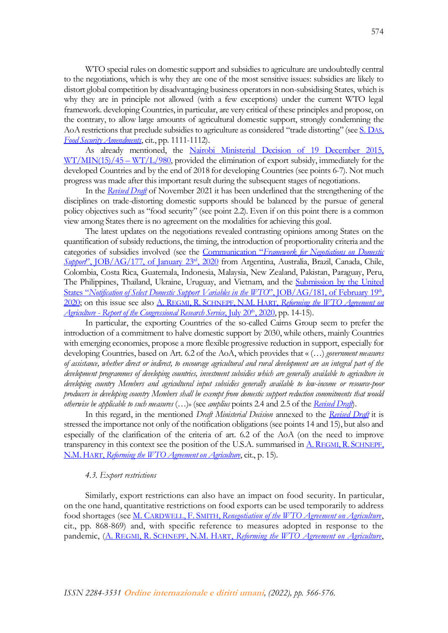WTO special rules on domestic support and subsidies to agriculture are undoubtedly central to the negotiations, which is why they are one of the most sensitive issues: subsidies are likely to distort global competition by disadvantaging business operators in non-subsidising States, which is why they are in principle not allowed (with a few exceptions) under the current WTO legal framework. developing Countries, in particular, are very critical of these principles and propose, on the contrary, to allow large amounts of agricultural domestic support, strongly condemning the AoA restrictions that preclude subsidies to agriculture as considered "trade distorting" (see [S. D](https://kluwerlawonline.com/journalarticle/Journal+of+World+Trade/50.6/TRAD2016044)AS, *[Food Security Amendments](https://kluwerlawonline.com/journalarticle/Journal+of+World+Trade/50.6/TRAD2016044)*, cit., pp. 1111-1112).

As already mentioned, the [Nairobi Ministerial Decision of 19 December 2015,](https://www.wto.org/english/thewto_e/minist_e/mc10_e/l980_e.htm)   $WT/MIN(15)/45 - WT/L/980$  $WT/MIN(15)/45 - WT/L/980$ , provided the elimination of export subsidy, immediately for the developed Countries and by the end of 2018 for developing Countries (see points 6-7). Not much progress was made after this important result during the subsequent stages of negotiations.

In the *[Revised Draft](https://docs.wto.org/dol2fe/Pages/SS/directdoc.aspx?filename=q:/TN/AG/50.pdf&Open=True)* of November 2021 it has been underlined that the strengthening of the disciplines on trade-distorting domestic supports should be balanced by the pursue of general policy objectives such as "food security" (see point 2.2). Even if on this point there is a common view among States there is no agreement on the modalities for achieving this goal.

The latest updates on the negotiations revealed contrasting opinions among States on the quantification of subsidy reductions, the timing, the introduction of proportionality criteria and the categories of subsidies involved (see the Communication "*[Framework for Negotiations on Domestic](https://docs.wto.org/dol2fe/Pages/SS/directdoc.aspx?filename=q:/Jobs/AG/177.pdf&Open=True)*  Support'', JOB/AG/177, of January 23<sup>rd</sup>, 2020 from Argentina, Australia, Brazil, Canada, Chile, Colombia, Costa Rica, Guatemala, Indonesia, Malaysia, New Zealand, Pakistan, Paraguay, Peru, The Philippines, Thailand, Ukraine, Uruguay, and Vietnam, and the [Submission by the United](https://docs.wto.org/dol2fe/Pages/SS/directdoc.aspx?filename=q:/Jobs/AG/181.pdf&Open=True)  States "[Notification of Select Domestic Support Variables in the WTO](https://docs.wto.org/dol2fe/Pages/SS/directdoc.aspx?filename=q:/Jobs/AG/181.pdf&Open=True)", JOB/AG/181, of February 19<sup>th</sup>, [2020;](https://docs.wto.org/dol2fe/Pages/SS/directdoc.aspx?filename=q:/Jobs/AG/181.pdf&Open=True) on this issue see also A. REGMI, R. SCHNEPF, N.M. HART, *[Reforming the WTO Agreement on](https://sgp.fas.org/crs/misc/R46456.pdf)  <u>Agriculture - [Report of the Congressional Research Service](https://sgp.fas.org/crs/misc/R46456.pdf)*, July 20<sup>th</sup>, 2020</u>, pp. 14-15).

In particular, the exporting Countries of the so-called Cairns Group seem to prefer the introduction of a commitment to halve domestic support by 2030, while others, mainly Countries with emerging economies, propose a more flexible progressive reduction in support, especially for developing Countries, based on Art. 6.2 of the AoA, which provides that « (…) *government measures of assistance, whether direct or indirect, to encourage agricultural and rural development are an integral part of the development programmes of developing countries, investment subsidies which are generally available to agriculture in developing country Members and agricultural input subsidies generally available to low-income or resource-poor producers in developing country Members shall be exempt from domestic support reduction commitments that would otherwise be applicable to such measures* (…)» (see *amplius* points 2.4 and 2.5 of the *[Revised Draft](https://docs.wto.org/dol2fe/Pages/SS/directdoc.aspx?filename=q:/TN/AG/50.pdf&Open=True)*).

In this regard, in the mentioned *Draft Ministerial Decision* annexed to the *[Revised Draft](https://docs.wto.org/dol2fe/Pages/SS/directdoc.aspx?filename=q:/TN/AG/50.pdf&Open=True)* it is stressed the importance not only of the notification obligations (see points 14 and 15), but also and especially of the clarification of the criteria of art. 6.2 of the AoA (on the need to improve transparency in this context see the position of the U.S.A. summarised in  $\underline{A}$ . REGMI, R. S[CHNEPF](https://sgp.fas.org/crs/misc/R46456.pdf), N.M.HART, *[Reforming the WTO Agreement on Agriculture](https://sgp.fas.org/crs/misc/R46456.pdf)*, cit., p. 15).

#### *4.3. Export restrictions*

Similarly, export restrictions can also have an impact on food security. In particular, on the one hand, quantitative restrictions on food exports can be used temporarily to address food shortages (see M. CARDWELL, F. SMITH, *[Renegotiation of the WTO Agreement on Agriculture](https://www.cambridge.org/core/journals/international-and-comparative-law-quarterly/article/abs/renegotiation-of-the-wto-agreement-on-agriculture-accommodating-the-new-big-issues/88F00F1653BEF94620AD43E2AD2F4822)*, cit., pp. 868-869) and, with specific reference to measures adopted in response to the pandemic, (A. REGMI, R. SCHNEPF, N.M. HART, *[Reforming the WTO Agreement on Agriculture](https://sgp.fas.org/crs/misc/R46456.pdf)*,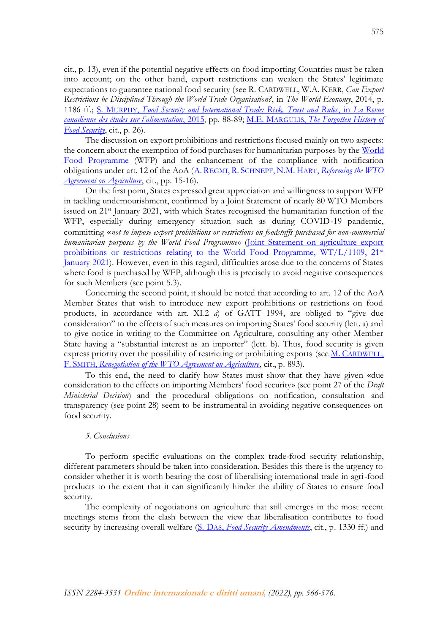cit., p. 13), even if the potential negative effects on food importing Countries must be taken into account; on the other hand, export restrictions can weaken the States' legitimate expectations to guarantee national food security (see R. CARDWELL, W.A. KERR, *Can Export Restrictions be Disciplined Through the World Trade Organisation?*, in *The World Economy*, 2014, p. 1186 ff.; S. MURPHY, *[Food Security and International Trade: Risk, Trust and Rules](https://canadianfoodstudies.uwaterloo.ca/index.php/cfs/article/view/133/100)*, in *La Revue ca[nadienne des études sur l'alimentation](https://canadianfoodstudies.uwaterloo.ca/index.php/cfs/article/view/133/100)*, 2015, pp. 88-89; M.E. MARGULIS, *[The Forgotten History of](https://www.cambridge.org/core/journals/world-trade-review/article/abs/forgotten-history-of-food-security-in-multilateral-trade-negotiations/882E30343EDC94C0CE00DF8B6362A368)  [Food Security](https://www.cambridge.org/core/journals/world-trade-review/article/abs/forgotten-history-of-food-security-in-multilateral-trade-negotiations/882E30343EDC94C0CE00DF8B6362A368)*, cit., p. 26).

The discussion on export prohibitions and restrictions focused mainly on two aspects: the concern about the exemption of food purchases for humanitarian purposes by the World [Food Programme](https://www.wfp.org/) (WFP) and the enhancement of the compliance with notification obligations under art. 12 of the AoA (A. REGMI, R. SCHNEPF, N.M. HART, *[Reforming the WTO](https://sgp.fas.org/crs/misc/R46456.pdf)  [Agreement on Agriculture](https://sgp.fas.org/crs/misc/R46456.pdf)*, cit., pp. 15-16).

On the first point, States expressed great appreciation and willingness to support WFP in tackling undernourishment, confirmed by a Joint Statement of nearly 80 WTO Members issued on 21<sup>st</sup> January 2021, with which States recognised the humanitarian function of the WFP, especially during emergency situation such as during COVID-19 pandemic, committing «*not to impose export prohibitions or restrictions on foodstuffs purchased for non-commercial humanitarian purposes by the World Food Programme*» [\(Joint Statement on agriculture export](https://www.wto.org/english/news_e/news21_e/agri_21jan21_e.htm)  prohibitions or restrictions relating to the World Food Programme,  $WT/L/1109$ ,  $21<sup>st</sup>$ [January](https://www.wto.org/english/news_e/news21_e/agri_21jan21_e.htm) 2021). However, even in this regard, difficulties arose due to the concerns of States where food is purchased by WFP, although this is precisely to avoid negative consequences for such Members (see point 5.3).

Concerning the second point, it should be noted that according to art. 12 of the AoA Member States that wish to introduce new export prohibitions or restrictions on food products, in accordance with art. XI.2 *a*) of GATT 1994, are obliged to "give due consideration" to the effects of such measures on importing States' food security (lett. a) and to give notice in writing to the Committee on Agriculture, consulting any other Member State having a "substantial interest as an importer" (lett. b). Thus, food security is given express priority over the possibility of restricting or prohibiting exports (see M. C[ARDWELL](https://www.cambridge.org/core/journals/international-and-comparative-law-quarterly/article/abs/renegotiation-of-the-wto-agreement-on-agriculture-accommodating-the-new-big-issues/88F00F1653BEF94620AD43E2AD2F4822), F. SMITH, *[Renegotiation of the WTO Agreement on Agriculture](https://www.cambridge.org/core/journals/international-and-comparative-law-quarterly/article/abs/renegotiation-of-the-wto-agreement-on-agriculture-accommodating-the-new-big-issues/88F00F1653BEF94620AD43E2AD2F4822)*, cit., p. 893).

To this end, the need to clarify how States must show that they have given «due consideration to the effects on importing Members' food security» (see point 27 of the *Draft Ministerial Decision*) and the procedural obligations on notification, consultation and transparency (see point 28) seem to be instrumental in avoiding negative consequences on food security.

# *5. Conclusions*

To perform specific evaluations on the complex trade-food security relationship, different parameters should be taken into consideration. Besides this there is the urgency to consider whether it is worth bearing the cost of liberalising international trade in agri-food products to the extent that it can significantly hinder the ability of States to ensure food security.

The complexity of negotiations on agriculture that still emerges in the most recent meetings stems from the clash between the view that liberalisation contributes to food security by increasing overall welfare (S. DAS, *[Food Security Amendments](https://kluwerlawonline.com/journalarticle/Journal+of+World+Trade/50.6/TRAD2016044)*, cit., p. 1330 ff.) and